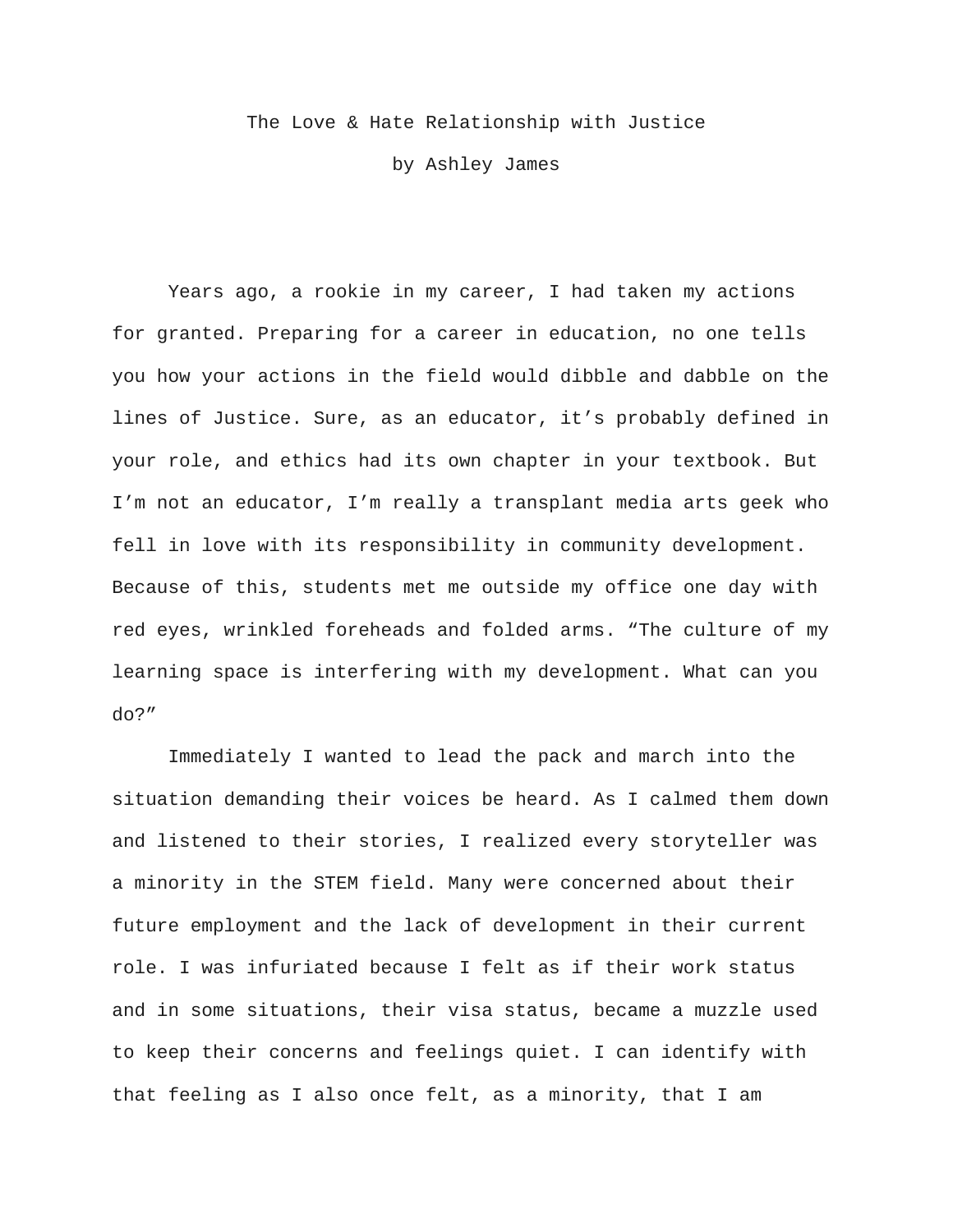## The Love & Hate Relationship with Justice

by Ashley James

Years ago, a rookie in my career, I had taken my actions for granted. Preparing for a career in education, no one tells you how your actions in the field would dibble and dabble on the lines of Justice. Sure, as an educator, it's probably defined in your role, and ethics had its own chapter in your textbook. But I'm not an educator, I'm really a transplant media arts geek who fell in love with its responsibility in community development. Because of this, students met me outside my office one day with red eyes, wrinkled foreheads and folded arms. "The culture of my learning space is interfering with my development. What can you do?"

Immediately I wanted to lead the pack and march into the situation demanding their voices be heard. As I calmed them down and listened to their stories, I realized every storyteller was a minority in the STEM field. Many were concerned about their future employment and the lack of development in their current role. I was infuriated because I felt as if their work status and in some situations, their visa status, became a muzzle used to keep their concerns and feelings quiet. I can identify with that feeling as I also once felt, as a minority, that I am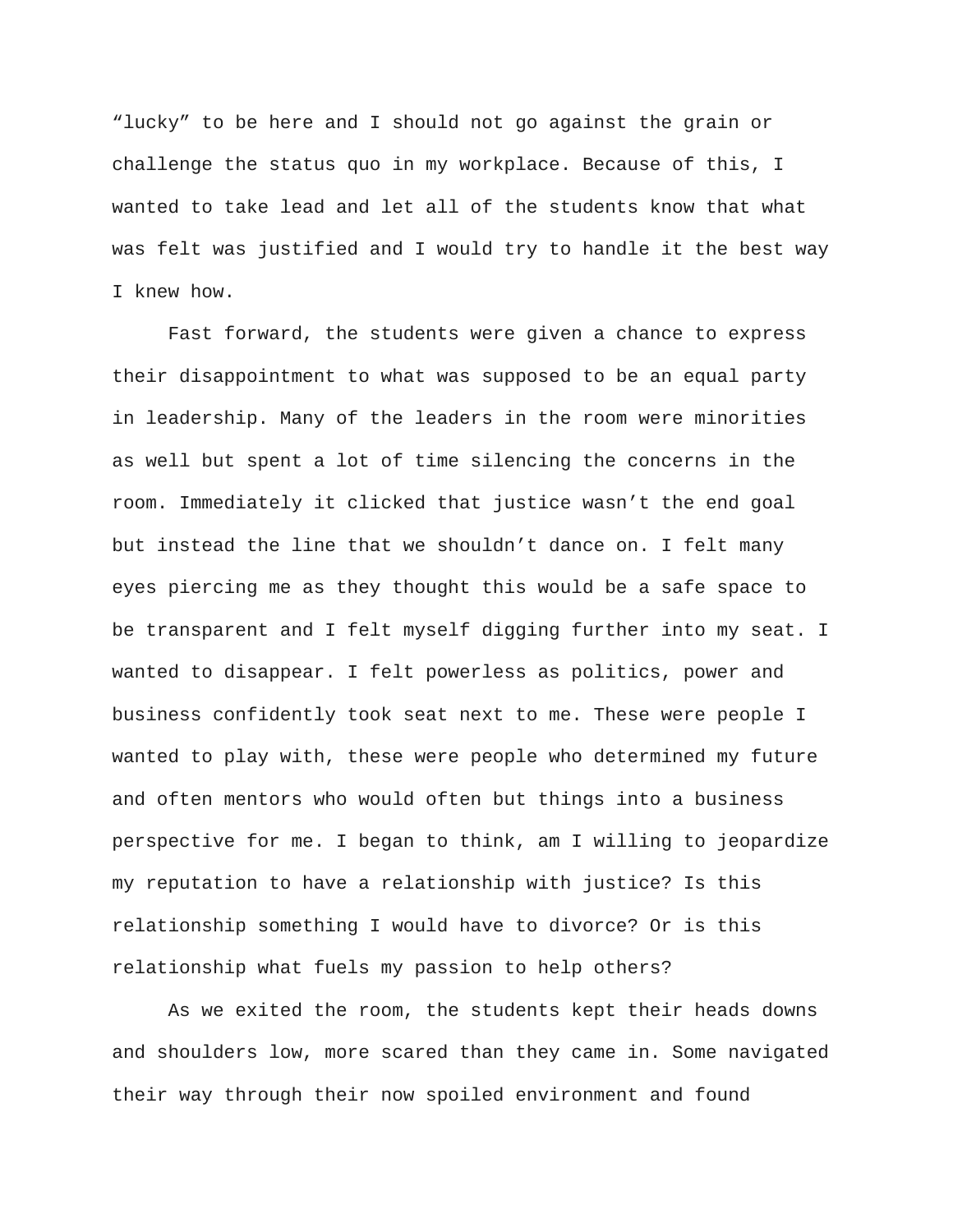"lucky" to be here and I should not go against the grain or challenge the status quo in my workplace. Because of this, I wanted to take lead and let all of the students know that what was felt was justified and I would try to handle it the best way I knew how.

Fast forward, the students were given a chance to express their disappointment to what was supposed to be an equal party in leadership. Many of the leaders in the room were minorities as well but spent a lot of time silencing the concerns in the room. Immediately it clicked that justice wasn't the end goal but instead the line that we shouldn't dance on. I felt many eyes piercing me as they thought this would be a safe space to be transparent and I felt myself digging further into my seat. I wanted to disappear. I felt powerless as politics, power and business confidently took seat next to me. These were people I wanted to play with, these were people who determined my future and often mentors who would often but things into a business perspective for me. I began to think, am I willing to jeopardize my reputation to have a relationship with justice? Is this relationship something I would have to divorce? Or is this relationship what fuels my passion to help others?

As we exited the room, the students kept their heads downs and shoulders low, more scared than they came in. Some navigated their way through their now spoiled environment and found